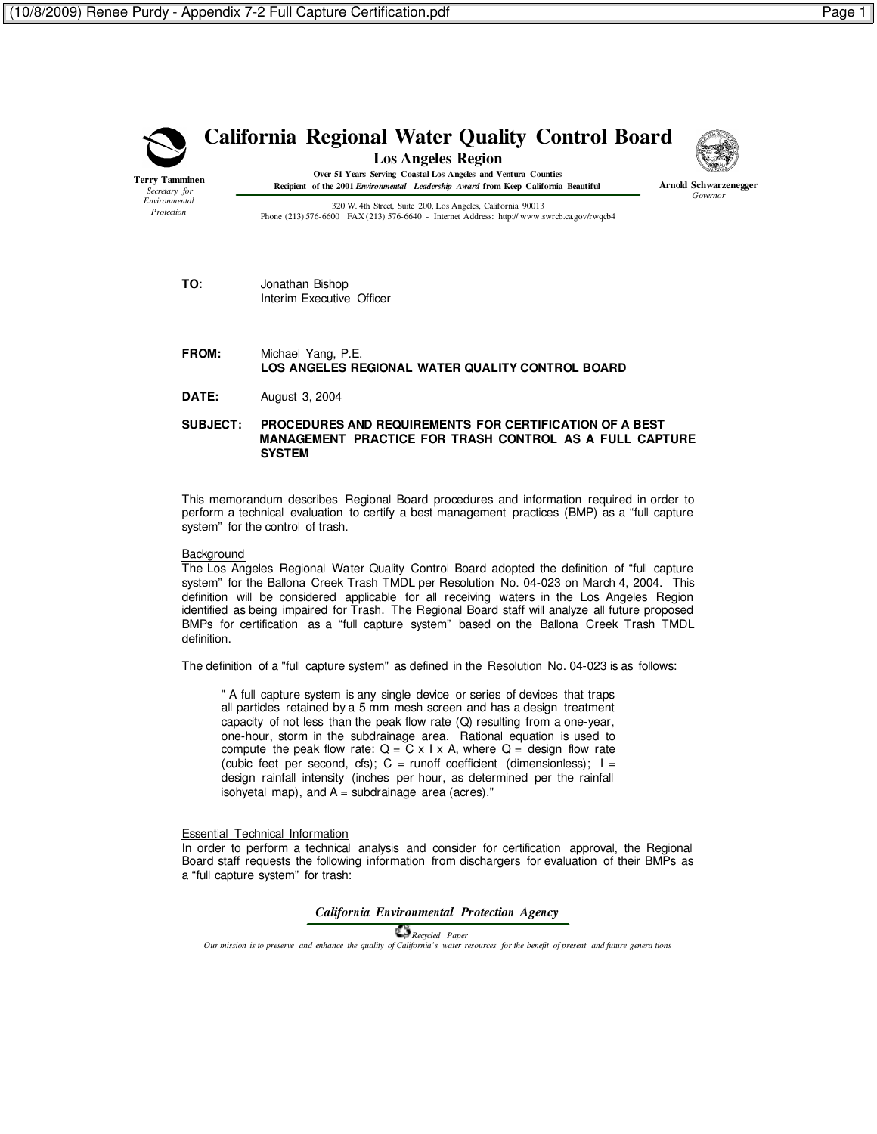

**Terry Tamminen** *Secretary for Environmental Protection*

# **California Regional Water Quality Control Board**

**Los Angeles Region**



**Over 51 Years Serving Coastal Los Angeles and Ventura Counties Recipient of the 2001** *Environmental Leadership Award* **from Keep California Beautiful**

**Arnold Schwarzenegger** *Governor*

320 W. 4th Street, Suite 200, Los Angeles, California 90013 Phone (213) 576-6600 FAX (213) 576-6640 - Internet Address: http:// www.swrcb.ca.gov/rwqcb4

# **TO:** Jonathan Bishop Interim Executive Officer

### **FROM:** Michael Yang, P.E. **LOS ANGELES REGIONAL WATER QUALITY CONTROL BOARD**

**DATE:** August 3, 2004

## **SUBJECT: PROCEDURES AND REQUIREMENTS FOR CERTIFICATION OF A BEST MANAGEMENT PRACTICE FOR TRASH CONTROL AS A FULL CAPTURE SYSTEM**

This memorandum describes Regional Board procedures and information required in order to perform a technical evaluation to certify a best management practices (BMP) as a "full capture system" for the control of trash.

### **Background**

The Los Angeles Regional Water Quality Control Board adopted the definition of "full capture system" for the Ballona Creek Trash TMDL per Resolution No. 04-023 on March 4, 2004. This definition will be considered applicable for all receiving waters in the Los Angeles Region identified as being impaired for Trash. The Regional Board staff will analyze all future proposed BMPs for certification as a "full capture system" based on the Ballona Creek Trash TMDL definition.

The definition of a "full capture system" as defined in the Resolution No. 04-023 is as follows:

" A full capture system is any single device or series of devices that traps all particles retained by a 5 mm mesh screen and has a design treatment capacity of not less than the peak flow rate (Q) resulting from a one-year, one-hour, storm in the subdrainage area. Rational equation is used to compute the peak flow rate:  $Q = C \times I \times A$ , where  $Q =$  design flow rate (cubic feet per second, cfs);  $C =$  runoff coefficient (dimensionless);  $I =$ design rainfall intensity (inches per hour, as determined per the rainfall isohyetal map), and  $A =$  subdrainage area (acres)."

### Essential Technical Information

In order to perform a technical analysis and consider for certification approval, the Regional Board staff requests the following information from dischargers for evaluation of their BMPs as a "full capture system" for trash:

### *California Environmental Protection Agency*

 *Recycled Paper Our mission is to preserve and enhance the quality of California's water resources for the benefit of present and future genera tions*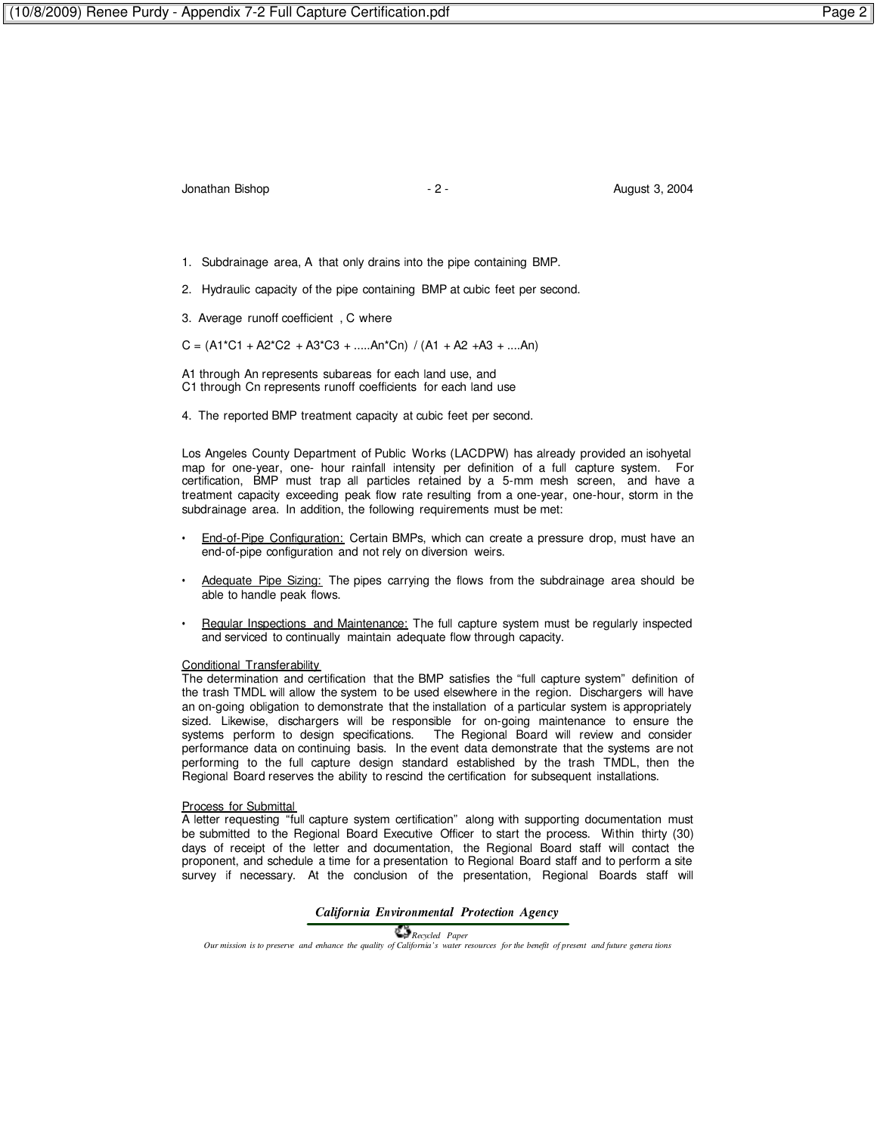# Jonathan Bishop **1988** - 2 - **August 3, 2004**

- 1. Subdrainage area, A that only drains into the pipe containing BMP.
- 2. Hydraulic capacity of the pipe containing BMP at cubic feet per second.
- 3. Average runoff coefficient , C where

 $C = (A1*C1 + A2*C2 + A3*C3 + \dots An*Cn) / (A1 + A2 + A3 + \dots An)$ 

A1 through An represents subareas for each land use, and C1 through Cn represents runoff coefficients for each land use

4. The reported BMP treatment capacity at cubic feet per second.

Los Angeles County Department of Public Works (LACDPW) has already provided an isohyetal map for one-year, one- hour rainfall intensity per definition of a full capture system. For certification, BMP must trap all particles retained by a 5-mm mesh screen, and have a treatment capacity exceeding peak flow rate resulting from a one-year, one-hour, storm in the subdrainage area. In addition, the following requirements must be met:

- End-of-Pipe Configuration: Certain BMPs, which can create a pressure drop, must have an end-of-pipe configuration and not rely on diversion weirs.
- Adequate Pipe Sizing: The pipes carrying the flows from the subdrainage area should be able to handle peak flows.
- Regular Inspections and Maintenance: The full capture system must be regularly inspected and serviced to continually maintain adequate flow through capacity.

#### Conditional Transferability

The determination and certification that the BMP satisfies the "full capture system" definition of the trash TMDL will allow the system to be used elsewhere in the region. Dischargers will have an on-going obligation to demonstrate that the installation of a particular system is appropriately sized. Likewise, dischargers will be responsible for on-going maintenance to ensure the systems perform to design specifications. The Regional Board will review and consider performance data on continuing basis. In the event data demonstrate that the systems are not performing to the full capture design standard established by the trash TMDL, then the Regional Board reserves the ability to rescind the certification for subsequent installations.

#### **Process for Submittal**

A letter requesting "full capture system certification" along with supporting documentation must be submitted to the Regional Board Executive Officer to start the process. Within thirty (30) days of receipt of the letter and documentation, the Regional Board staff will contact the proponent, and schedule a time for a presentation to Regional Board staff and to perform a site survey if necessary. At the conclusion of the presentation, Regional Boards staff will

#### *California Environmental Protection Agency*

 *Recycled Paper Our mission is to preserve and enhance the quality of California's water resources for the benefit of present and future genera tions*